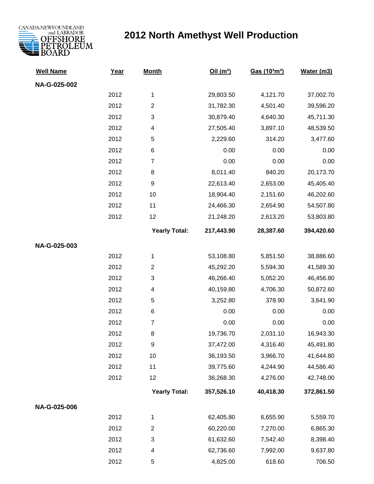

## **2012 North Amethyst Well Production**

| <b>Well Name</b> | Year | <b>Month</b>            | Oil(m <sup>3</sup> ) | Gas (10 <sup>3</sup> m <sup>3</sup> ) | Water (m3) |
|------------------|------|-------------------------|----------------------|---------------------------------------|------------|
| NA-G-025-002     |      |                         |                      |                                       |            |
|                  | 2012 | 1                       | 29,803.50            | 4,121.70                              | 37,002.70  |
|                  | 2012 | $\overline{c}$          | 31,782.30            | 4,501.40                              | 39,596.20  |
|                  | 2012 | 3                       | 30,879.40            | 4,640.30                              | 45,711.30  |
|                  | 2012 | 4                       | 27,505.40            | 3,897.10                              | 48,539.50  |
|                  | 2012 | 5                       | 2,229.60             | 314.20                                | 3,477.60   |
|                  | 2012 | 6                       | 0.00                 | 0.00                                  | 0.00       |
|                  | 2012 | $\boldsymbol{7}$        | 0.00                 | 0.00                                  | 0.00       |
|                  | 2012 | 8                       | 8,011.40             | 840.20                                | 20,173.70  |
|                  | 2012 | 9                       | 22,613.40            | 2,653.00                              | 45,405.40  |
|                  | 2012 | 10                      | 18,904.40            | 2,151.60                              | 46,202.60  |
|                  | 2012 | 11                      | 24,466.30            | 2,654.90                              | 54,507.80  |
|                  | 2012 | 12                      | 21,248.20            | 2,613.20                              | 53,803.80  |
|                  |      | <b>Yearly Total:</b>    | 217,443.90           | 28,387.60                             | 394,420.60 |
| NA-G-025-003     |      |                         |                      |                                       |            |
|                  | 2012 | 1                       | 53,108.80            | 5,851.50                              | 38,886.60  |
|                  | 2012 | $\overline{\mathbf{c}}$ | 45,292.20            | 5,594.30                              | 41,589.30  |
|                  | 2012 | 3                       | 46,266.40            | 5,052.20                              | 46,456.80  |
|                  | 2012 | 4                       | 40,159.80            | 4,706.30                              | 50,872.60  |
|                  | 2012 | 5                       | 3,252.80             | 378.90                                | 3,641.90   |
|                  | 2012 | 6                       | 0.00                 | 0.00                                  | 0.00       |
|                  | 2012 | $\boldsymbol{7}$        | 0.00                 | 0.00                                  | 0.00       |
|                  | 2012 | 8                       | 19,736.70            | 2,031.10                              | 16,943.30  |
|                  | 2012 | 9                       | 37,472.00            | 4,316.40                              | 45,491.80  |
|                  | 2012 | 10                      | 36,193.50            | 3,966.70                              | 41,644.80  |
|                  | 2012 | 11                      | 39,775.60            | 4,244.90                              | 44,586.40  |
|                  | 2012 | 12                      | 36,268.30            | 4,276.00                              | 42,748.00  |
|                  |      | <b>Yearly Total:</b>    | 357,526.10           | 40,418.30                             | 372,861.50 |
| NA-G-025-006     |      |                         |                      |                                       |            |
|                  | 2012 | 1                       | 62,405.80            | 6,655.90                              | 5,559.70   |
|                  | 2012 | $\overline{c}$          | 60,220.00            | 7,270.00                              | 6,865.30   |
|                  | 2012 | 3                       | 61,632.60            | 7,542.40                              | 8,398.40   |
|                  | 2012 | 4                       | 62,736.60            | 7,992.00                              | 9,637.80   |
|                  | 2012 | 5                       | 4,825.00             | 618.60                                | 706.50     |